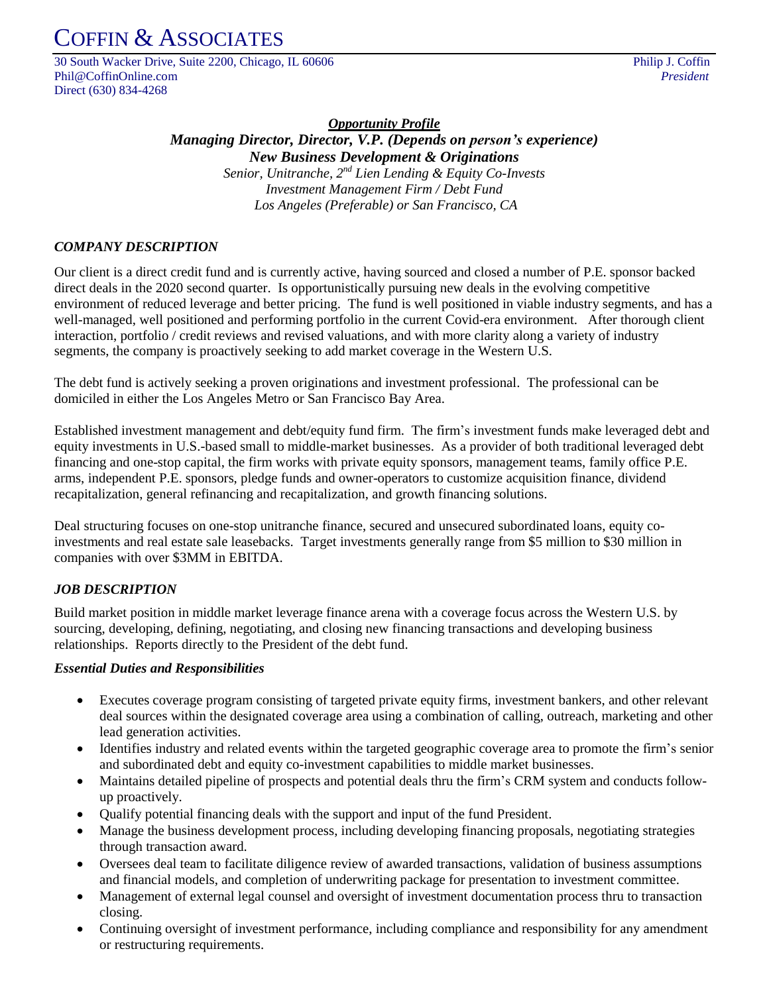# COFFIN & ASSOCIATES

30 South Wacker Drive, Suite 2200, Chicago, IL 60606 Philip J. Coffin Phil@CoffinOnline.com *President* Direct (630) 834-4268

*Opportunity Profile Managing Director, Director, V.P. (Depends on person's experience) New Business Development & Originations Senior, Unitranche, 2 nd Lien Lending & Equity Co-Invests Investment Management Firm / Debt Fund Los Angeles (Preferable) or San Francisco, CA*

# *COMPANY DESCRIPTION*

Our client is a direct credit fund and is currently active, having sourced and closed a number of P.E. sponsor backed direct deals in the 2020 second quarter. Is opportunistically pursuing new deals in the evolving competitive environment of reduced leverage and better pricing. The fund is well positioned in viable industry segments, and has a well-managed, well positioned and performing portfolio in the current Covid-era environment. After thorough client interaction, portfolio / credit reviews and revised valuations, and with more clarity along a variety of industry segments, the company is proactively seeking to add market coverage in the Western U.S.

The debt fund is actively seeking a proven originations and investment professional. The professional can be domiciled in either the Los Angeles Metro or San Francisco Bay Area.

Established investment management and debt/equity fund firm. The firm's investment funds make leveraged debt and equity investments in U.S.-based small to middle-market businesses. As a provider of both traditional leveraged debt financing and one-stop capital, the firm works with private equity sponsors, management teams, family office P.E. arms, independent P.E. sponsors, pledge funds and owner-operators to customize acquisition finance, dividend recapitalization, general refinancing and recapitalization, and growth financing solutions.

Deal structuring focuses on one-stop unitranche finance, secured and unsecured subordinated loans, equity coinvestments and real estate sale leasebacks. Target investments generally range from \$5 million to \$30 million in companies with over \$3MM in EBITDA.

## *JOB DESCRIPTION*

Build market position in middle market leverage finance arena with a coverage focus across the Western U.S. by sourcing, developing, defining, negotiating, and closing new financing transactions and developing business relationships. Reports directly to the President of the debt fund.

#### *Essential Duties and Responsibilities*

- Executes coverage program consisting of targeted private equity firms, investment bankers, and other relevant deal sources within the designated coverage area using a combination of calling, outreach, marketing and other lead generation activities.
- Identifies industry and related events within the targeted geographic coverage area to promote the firm's senior and subordinated debt and equity co-investment capabilities to middle market businesses.
- Maintains detailed pipeline of prospects and potential deals thru the firm's CRM system and conducts followup proactively.
- Qualify potential financing deals with the support and input of the fund President.
- Manage the business development process, including developing financing proposals, negotiating strategies through transaction award.
- Oversees deal team to facilitate diligence review of awarded transactions, validation of business assumptions and financial models, and completion of underwriting package for presentation to investment committee.
- Management of external legal counsel and oversight of investment documentation process thru to transaction closing.
- Continuing oversight of investment performance, including compliance and responsibility for any amendment or restructuring requirements.